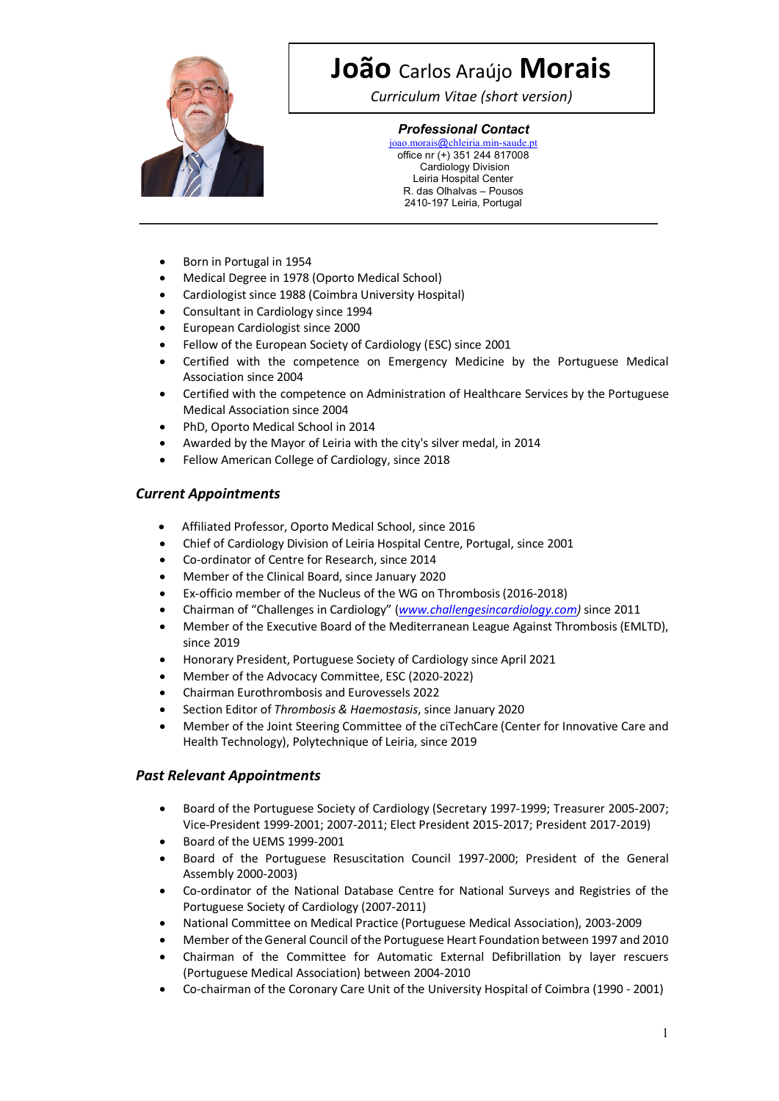

# **João** Carlos Araújo **Morais**

*Curriculum Vitae (short version)*

### *Professional Contact*

joao.morais@chleiria.min-saude.pt office nr (+) 351 244 817008 Cardiology Division Leiria Hospital Center R. das Olhalvas – Pousos 2410-197 Leiria, Portugal

- Born in Portugal in 1954
- Medical Degree in 1978 (Oporto Medical School)
- Cardiologist since 1988 (Coimbra University Hospital)
- Consultant in Cardiology since 1994
- European Cardiologist since 2000
- Fellow of the European Society of Cardiology (ESC) since 2001
- Certified with the competence on Emergency Medicine by the Portuguese Medical Association since 2004
- Certified with the competence on Administration of Healthcare Services by the Portuguese Medical Association since 2004
- PhD, Oporto Medical School in 2014
- Awarded by the Mayor of Leiria with the city's silver medal, in 2014
- Fellow American College of Cardiology, since 2018

### *Current Appointments*

- Affiliated Professor, Oporto Medical School, since 2016
- Chief of Cardiology Division of Leiria Hospital Centre, Portugal, since 2001
- Co-ordinator of Centre for Research, since 2014
- Member of the Clinical Board, since January 2020
- Ex-officio member of the Nucleus of the WG on Thrombosis(2016-2018)
- Chairman of "Challenges in Cardiology" (*www.challengesincardiology.com)* since 2011
- Member of the Executive Board of the Mediterranean League Against Thrombosis (EMLTD), since 2019
- Honorary President, Portuguese Society of Cardiology since April 2021
- Member of the Advocacy Committee, ESC (2020-2022)
- Chairman Eurothrombosis and Eurovessels 2022
- Section Editor of *Thrombosis & Haemostasis*, since January 2020
- Member of the Joint Steering Committee of the ciTechCare (Center for Innovative Care and Health Technology), Polytechnique of Leiria, since 2019

### *Past Relevant Appointments*

- Board of the Portuguese Society of Cardiology (Secretary 1997-1999; Treasurer 2005-2007; Vice-President 1999-2001; 2007-2011; Elect President 2015-2017; President 2017-2019)
- Board of the UEMS 1999-2001
- Board of the Portuguese Resuscitation Council 1997-2000; President of the General Assembly 2000-2003)
- Co-ordinator of the National Database Centre for National Surveys and Registries of the Portuguese Society of Cardiology (2007-2011)
- National Committee on Medical Practice (Portuguese Medical Association), 2003-2009
- Member of the General Council of the Portuguese Heart Foundation between 1997 and 2010
- Chairman of the Committee for Automatic External Defibrillation by layer rescuers (Portuguese Medical Association) between 2004-2010
- Co-chairman of the Coronary Care Unit of the University Hospital of Coimbra (1990 2001)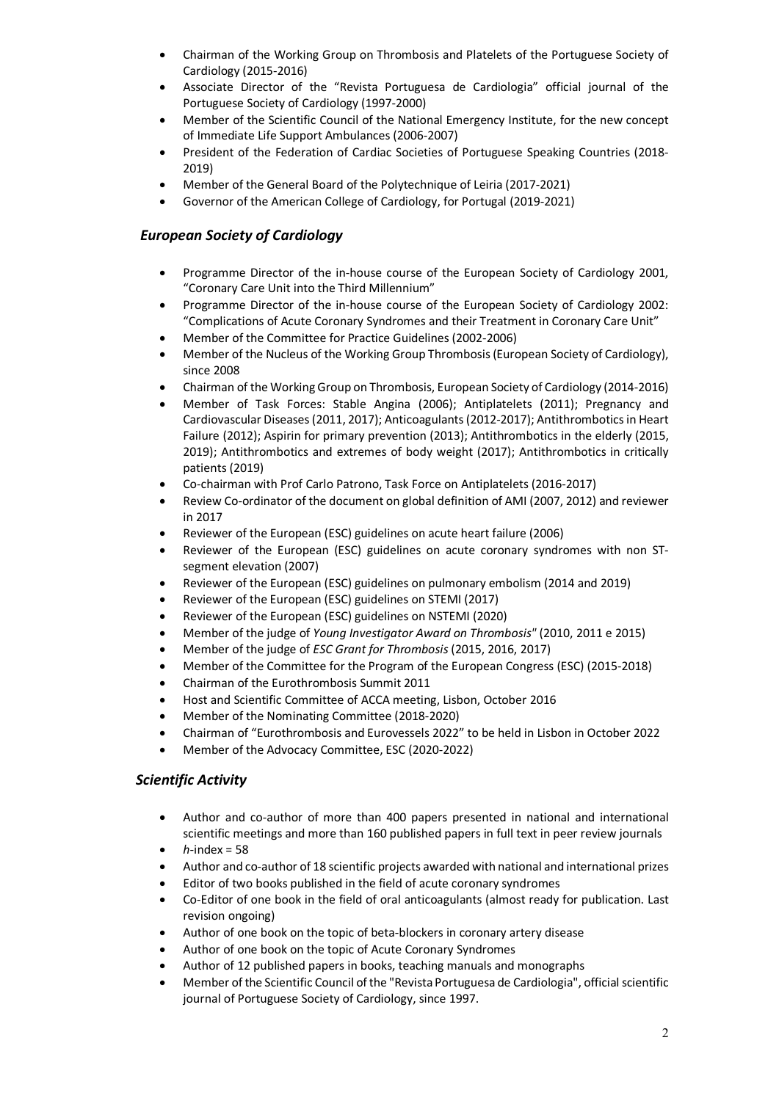- Chairman of the Working Group on Thrombosis and Platelets of the Portuguese Society of Cardiology (2015-2016)
- Associate Director of the "Revista Portuguesa de Cardiologia" official journal of the Portuguese Society of Cardiology (1997-2000)
- Member of the Scientific Council of the National Emergency Institute, for the new concept of Immediate Life Support Ambulances (2006-2007)
- President of the Federation of Cardiac Societies of Portuguese Speaking Countries (2018- 2019)
- Member of the General Board of the Polytechnique of Leiria (2017-2021)
- Governor of the American College of Cardiology, for Portugal (2019-2021)

### *European Society of Cardiology*

- Programme Director of the in-house course of the European Society of Cardiology 2001, "Coronary Care Unit into the Third Millennium"
- Programme Director of the in-house course of the European Society of Cardiology 2002: "Complications of Acute Coronary Syndromes and their Treatment in Coronary Care Unit"
- Member of the Committee for Practice Guidelines (2002-2006)
- Member of the Nucleus of the Working Group Thrombosis (European Society of Cardiology), since 2008
- Chairman of the Working Group on Thrombosis, European Society of Cardiology (2014-2016)
- Member of Task Forces: Stable Angina (2006); Antiplatelets (2011); Pregnancy and Cardiovascular Diseases (2011, 2017); Anticoagulants(2012-2017); Antithrombotics in Heart Failure (2012); Aspirin for primary prevention (2013); Antithrombotics in the elderly (2015, 2019); Antithrombotics and extremes of body weight (2017); Antithrombotics in critically patients (2019)
- Co-chairman with Prof Carlo Patrono, Task Force on Antiplatelets (2016-2017)
- Review Co-ordinator of the document on global definition of AMI (2007, 2012) and reviewer in 2017
- Reviewer of the European (ESC) guidelines on acute heart failure (2006)
- Reviewer of the European (ESC) guidelines on acute coronary syndromes with non STsegment elevation (2007)
- Reviewer of the European (ESC) guidelines on pulmonary embolism (2014 and 2019)
- Reviewer of the European (ESC) guidelines on STEMI (2017)
- Reviewer of the European (ESC) guidelines on NSTEMI (2020)
- Member of the judge of *Young Investigator Award on Thrombosis"* (2010, 2011 e 2015)
- Member of the judge of *ESC Grant for Thrombosis* (2015, 2016, 2017)
- Member of the Committee for the Program of the European Congress (ESC) (2015-2018)
- Chairman of the Eurothrombosis Summit 2011
- Host and Scientific Committee of ACCA meeting, Lisbon, October 2016
- Member of the Nominating Committee (2018-2020)
- Chairman of "Eurothrombosis and Eurovessels 2022" to be held in Lisbon in October 2022
- Member of the Advocacy Committee, ESC (2020-2022)

#### *Scientific Activity*

- Author and co-author of more than 400 papers presented in national and international scientific meetings and more than 160 published papers in full text in peer review journals
- $\bullet$  *h*-index = 58
- Author and co-author of 18 scientific projects awarded with national and international prizes
- Editor of two books published in the field of acute coronary syndromes
- Co-Editor of one book in the field of oral anticoagulants (almost ready for publication. Last revision ongoing)
- Author of one book on the topic of beta-blockers in coronary artery disease
- Author of one book on the topic of Acute Coronary Syndromes
- Author of 12 published papers in books, teaching manuals and monographs
- Member of the Scientific Council of the "Revista Portuguesa de Cardiologia", official scientific journal of Portuguese Society of Cardiology, since 1997.